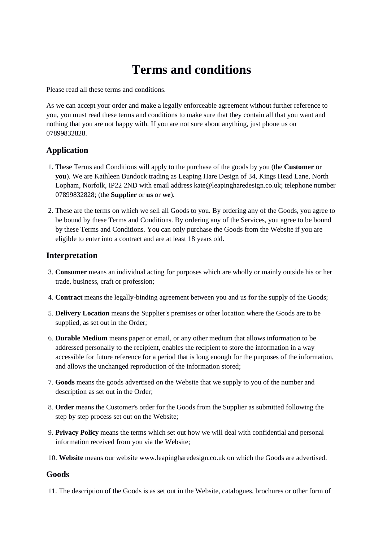# **Terms and conditions**

Please read all these terms and conditions.

As we can accept your order and make a legally enforceable agreement without further reference to you, you must read these terms and conditions to make sure that they contain all that you want and nothing that you are not happy with. If you are not sure about anything, just phone us on 07899832828.

# **Application**

- 1. These Terms and Conditions will apply to the purchase of the goods by you (the **Customer** or **you**). We are Kathleen Bundock trading as Leaping Hare Design of 34, Kings Head Lane, North Lopham, Norfolk, IP22 2ND with email address kate@leapingharedesign.co.uk; telephone number 07899832828; (the **Supplier** or **us** or **we**).
- 2. These are the terms on which we sell all Goods to you. By ordering any of the Goods, you agree to be bound by these Terms and Conditions. By ordering any of the Services, you agree to be bound by these Terms and Conditions. You can only purchase the Goods from the Website if you are eligible to enter into a contract and are at least 18 years old.

#### **Interpretation**

- 3. **Consumer** means an individual acting for purposes which are wholly or mainly outside his or her trade, business, craft or profession;
- 4. **Contract** means the legally-binding agreement between you and us for the supply of the Goods;
- 5. **Delivery Location** means the Supplier's premises or other location where the Goods are to be supplied, as set out in the Order;
- 6. **Durable Medium** means paper or email, or any other medium that allows information to be addressed personally to the recipient, enables the recipient to store the information in a way accessible for future reference for a period that is long enough for the purposes of the information, and allows the unchanged reproduction of the information stored;
- 7. **Goods** means the goods advertised on the Website that we supply to you of the number and description as set out in the Order;
- 8. **Order** means the Customer's order for the Goods from the Supplier as submitted following the step by step process set out on the Website;
- 9. **Privacy Policy** means the terms which set out how we will deal with confidential and personal information received from you via the Website;
- 10. **Website** means our website www.leapingharedesign.co.uk on which the Goods are advertised.

#### **Goods**

11. The description of the Goods is as set out in the Website, catalogues, brochures or other form of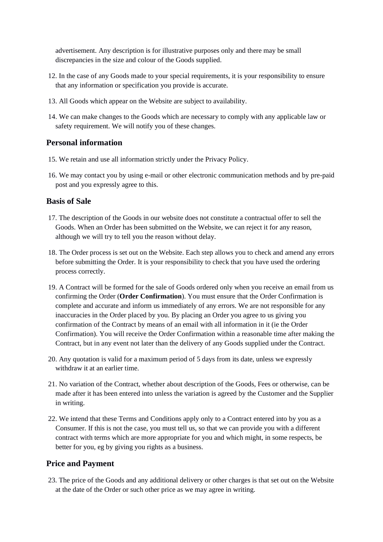advertisement. Any description is for illustrative purposes only and there may be small discrepancies in the size and colour of the Goods supplied.

- 12. In the case of any Goods made to your special requirements, it is your responsibility to ensure that any information or specification you provide is accurate.
- 13. All Goods which appear on the Website are subject to availability.
- 14. We can make changes to the Goods which are necessary to comply with any applicable law or safety requirement. We will notify you of these changes.

#### **Personal information**

- 15. We retain and use all information strictly under the Privacy Policy.
- 16. We may contact you by using e-mail or other electronic communication methods and by pre-paid post and you expressly agree to this.

#### **Basis of Sale**

- 17. The description of the Goods in our website does not constitute a contractual offer to sell the Goods. When an Order has been submitted on the Website, we can reject it for any reason, although we will try to tell you the reason without delay.
- 18. The Order process is set out on the Website. Each step allows you to check and amend any errors before submitting the Order. It is your responsibility to check that you have used the ordering process correctly.
- 19. A Contract will be formed for the sale of Goods ordered only when you receive an email from us confirming the Order (**Order Confirmation**). You must ensure that the Order Confirmation is complete and accurate and inform us immediately of any errors. We are not responsible for any inaccuracies in the Order placed by you. By placing an Order you agree to us giving you confirmation of the Contract by means of an email with all information in it (ie the Order Confirmation). You will receive the Order Confirmation within a reasonable time after making the Contract, but in any event not later than the delivery of any Goods supplied under the Contract.
- 20. Any quotation is valid for a maximum period of 5 days from its date, unless we expressly withdraw it at an earlier time.
- 21. No variation of the Contract, whether about description of the Goods, Fees or otherwise, can be made after it has been entered into unless the variation is agreed by the Customer and the Supplier in writing.
- 22. We intend that these Terms and Conditions apply only to a Contract entered into by you as a Consumer. If this is not the case, you must tell us, so that we can provide you with a different contract with terms which are more appropriate for you and which might, in some respects, be better for you, eg by giving you rights as a business.

#### **Price and Payment**

23. The price of the Goods and any additional delivery or other charges is that set out on the Website at the date of the Order or such other price as we may agree in writing.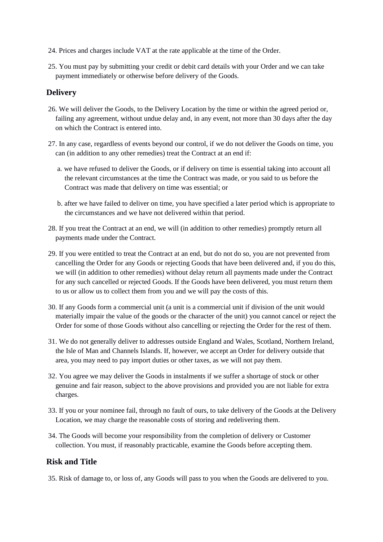- 24. Prices and charges include VAT at the rate applicable at the time of the Order.
- 25. You must pay by submitting your credit or debit card details with your Order and we can take payment immediately or otherwise before delivery of the Goods.

## **Delivery**

- 26. We will deliver the Goods, to the Delivery Location by the time or within the agreed period or, failing any agreement, without undue delay and, in any event, not more than 30 days after the day on which the Contract is entered into.
- 27. In any case, regardless of events beyond our control, if we do not deliver the Goods on time, you can (in addition to any other remedies) treat the Contract at an end if:
	- a. we have refused to deliver the Goods, or if delivery on time is essential taking into account all the relevant circumstances at the time the Contract was made, or you said to us before the Contract was made that delivery on time was essential; or
	- b. after we have failed to deliver on time, you have specified a later period which is appropriate to the circumstances and we have not delivered within that period.
- 28. If you treat the Contract at an end, we will (in addition to other remedies) promptly return all payments made under the Contract.
- 29. If you were entitled to treat the Contract at an end, but do not do so, you are not prevented from cancelling the Order for any Goods or rejecting Goods that have been delivered and, if you do this, we will (in addition to other remedies) without delay return all payments made under the Contract for any such cancelled or rejected Goods. If the Goods have been delivered, you must return them to us or allow us to collect them from you and we will pay the costs of this.
- 30. If any Goods form a commercial unit (a unit is a commercial unit if division of the unit would materially impair the value of the goods or the character of the unit) you cannot cancel or reject the Order for some of those Goods without also cancelling or rejecting the Order for the rest of them.
- 31. We do not generally deliver to addresses outside England and Wales, Scotland, Northern Ireland, the Isle of Man and Channels Islands. If, however, we accept an Order for delivery outside that area, you may need to pay import duties or other taxes, as we will not pay them.
- 32. You agree we may deliver the Goods in instalments if we suffer a shortage of stock or other genuine and fair reason, subject to the above provisions and provided you are not liable for extra charges.
- 33. If you or your nominee fail, through no fault of ours, to take delivery of the Goods at the Delivery Location, we may charge the reasonable costs of storing and redelivering them.
- 34. The Goods will become your responsibility from the completion of delivery or Customer collection. You must, if reasonably practicable, examine the Goods before accepting them.

#### **Risk and Title**

35. Risk of damage to, or loss of, any Goods will pass to you when the Goods are delivered to you.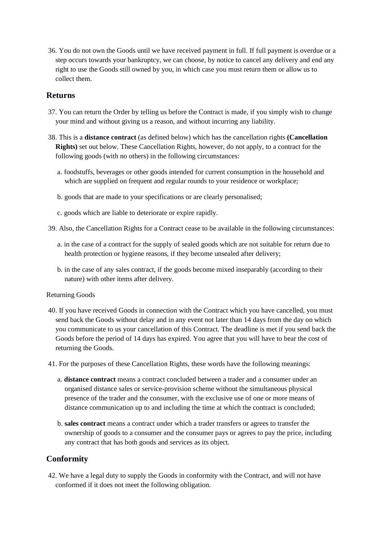36. You do not own the Goods until we have received payment in full. If full payment is overdue or a step occurs towards your bankruptcy, we can choose, by notice to cancel any delivery and end any right to use the Goods still owned by you, in which case you must return them or allow us to collect them.

### **Returns**

- 37. You can return the Order by telling us before the Contract is made, if you simply wish to change your mind and without giving us a reason, and without incurring any liability.
- 38. This is a **distance contract** (as defined below) which has the cancellation rights **(Cancellation Rights)** set out below. These Cancellation Rights, however, do not apply, to a contract for the following goods (with no others) in the following circumstances:
	- a. foodstuffs, beverages or other goods intended for current consumption in the household and which are supplied on frequent and regular rounds to your residence or workplace;
	- b. goods that are made to your specifications or are clearly personalised;
	- c. goods which are liable to deteriorate or expire rapidly.
- 39. Also, the Cancellation Rights for a Contract cease to be available in the following circumstances:
	- a. in the case of a contract for the supply of sealed goods which are not suitable for return due to health protection or hygiene reasons, if they become unsealed after delivery;
	- b. in the case of any sales contract, if the goods become mixed inseparably (according to their nature) with other items after delivery.

#### Returning Goods

- 40. If you have received Goods in connection with the Contract which you have cancelled, you must send back the Goods without delay and in any event not later than 14 days from the day on which you communicate to us your cancellation of this Contract. The deadline is met if you send back the Goods before the period of 14 days has expired. You agree that you will have to bear the cost of returning the Goods.
- 41. For the purposes of these Cancellation Rights, these words have the following meanings:
	- a. **distance contract** means a contract concluded between a trader and a consumer under an organised distance sales or service-provision scheme without the simultaneous physical presence of the trader and the consumer, with the exclusive use of one or more means of distance communication up to and including the time at which the contract is concluded;
	- b. **sales contract** means a contract under which a trader transfers or agrees to transfer the ownership of goods to a consumer and the consumer pays or agrees to pay the price, including any contract that has both goods and services as its object.

#### **Conformity**

42. We have a legal duty to supply the Goods in conformity with the Contract, and will not have conformed if it does not meet the following obligation.